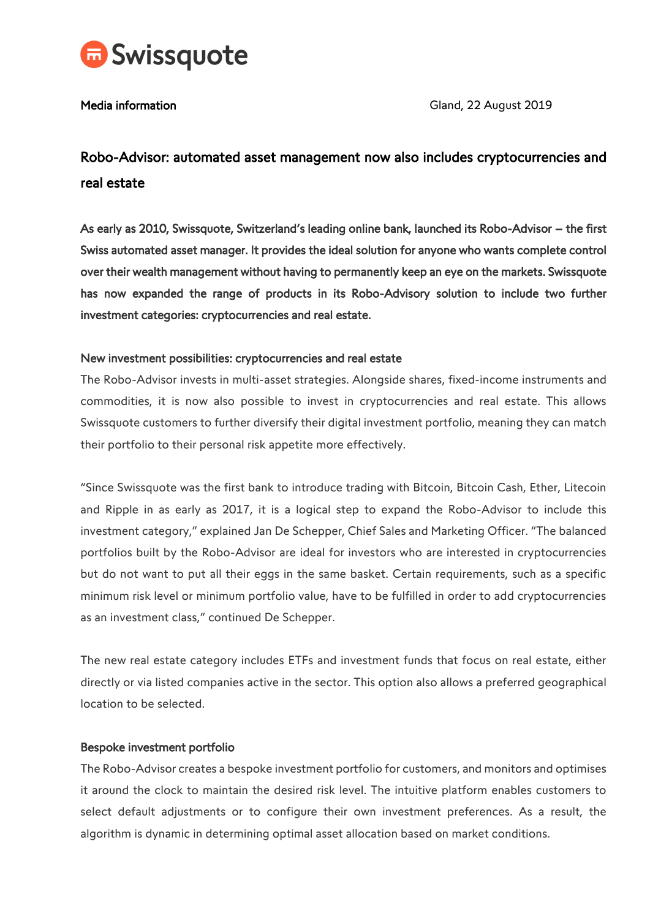

Media information and a set of the Contractor Cland, 22 August 2019

# Robo-Advisor: automated asset management now also includes cryptocurrencies and real estate

As early as 2010, Swissquote, Switzerland's leading online bank, launched its Robo-Advisor – the first Swiss automated asset manager. It provides the ideal solution for anyone who wants complete control over their wealth management without having to permanently keep an eye on the markets. Swissquote has now expanded the range of products in its Robo-Advisory solution to include two further investment categories: cryptocurrencies and real estate.

# New investment possibilities: cryptocurrencies and real estate

The Robo-Advisor invests in multi-asset strategies. Alongside shares, fixed-income instruments and commodities, it is now also possible to invest in cryptocurrencies and real estate. This allows Swissquote customers to further diversify their digital investment portfolio, meaning they can match their portfolio to their personal risk appetite more effectively.

"Since Swissquote was the first bank to introduce trading with Bitcoin, Bitcoin Cash, Ether, Litecoin and Ripple in as early as 2017, it is a logical step to expand the Robo-Advisor to include this investment category," explained Jan De Schepper, Chief Sales and Marketing Officer. "The balanced portfolios built by the Robo-Advisor are ideal for investors who are interested in cryptocurrencies but do not want to put all their eggs in the same basket. Certain requirements, such as a specific minimum risk level or minimum portfolio value, have to be fulfilled in order to add cryptocurrencies as an investment class," continued De Schepper.

The new real estate category includes ETFs and investment funds that focus on real estate, either directly or via listed companies active in the sector. This option also allows a preferred geographical location to be selected.

# Bespoke investment portfolio

The Robo-Advisor creates a bespoke investment portfolio for customers, and monitors and optimises it around the clock to maintain the desired risk level. The intuitive platform enables customers to select default adjustments or to configure their own investment preferences. As a result, the algorithm is dynamic in determining optimal asset allocation based on market conditions.